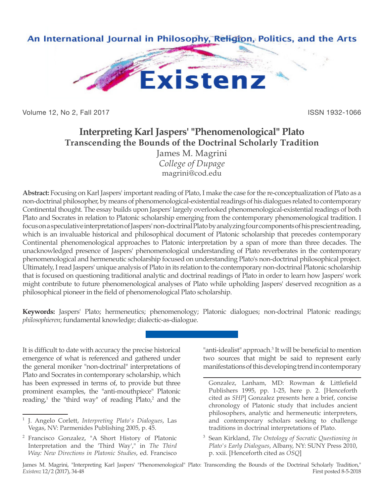

Volume 12, No 2, Fall 2017 **ISSN 1932-1066** 

# **Interpreting Karl Jaspers' "Phenomenological" Plato Transcending the Bounds of the Doctrinal Scholarly Tradition**

James M. Magrini *College of Dupage* magrini@cod.edu

**Abstract:** Focusing on Karl Jaspers' important reading of Plato, I make the case for the re-conceptualization of Plato as a non-doctrinal philosopher, by means of phenomenological-existential readings of his dialogues related to contemporary Continental thought. The essay builds upon Jaspers' largely overlooked phenomenological-existential readings of both Plato and Socrates in relation to Platonic scholarship emerging from the contemporary phenomenological tradition. I focus on a speculative interpretation of Jaspers' non-doctrinal Plato by analyzing four components of his prescient reading, which is an invaluable historical and philosophical document of Platonic scholarship that precedes contemporary Continental phenomenological approaches to Platonic interpretation by a span of more than three decades. The unacknowledged presence of Jaspers' phenomenological understanding of Plato reverberates in the contemporary phenomenological and hermeneutic scholarship focused on understanding Plato's non-doctrinal philosophical project. Ultimately, I read Jaspers' unique analysis of Plato in its relation to the contemporary non-doctrinal Platonic scholarship that is focused on questioning traditional analytic and doctrinal readings of Plato in order to learn how Jaspers' work might contribute to future phenomenological analyses of Plato while upholding Jaspers' deserved recognition as a philosophical pioneer in the field of phenomenological Plato scholarship.

**Keywords:** Jaspers' Plato; hermeneutics; phenomenology; Platonic dialogues; non-doctrinal Platonic readings; *philosophieren*; fundamental knowledge; dialectic-as-dialogue.

It is difficult to date with accuracy the precise historical emergence of what is referenced and gathered under the general moniker "non-doctrinal" interpretations of Plato and Socrates in contemporary scholarship, which has been expressed in terms of, to provide but three prominent examples, the "anti-mouthpiece" Platonic reading,<sup>1</sup> the "third way" of reading Plato,<sup>2</sup> and the

<sup>2</sup> Francisco Gonzalez, "A Short History of Platonic Interpretation and the 'Third Way'," in *The Third Way: New Directions in Platonic Studies*, ed. Francisco

"anti-idealist" approach.<sup>3</sup> It will be beneficial to mention two sources that might be said to represent early manifestations of this developing trend in contemporary

<sup>1</sup> J. Angelo Corlett, *Interpreting Plato's Dialogues*, Las Vegas, NV: Parmenides Publishing 2005, p. 45.

Gonzalez, Lanham, MD: Rowman & Littlefield Publishers 1995, pp. 1-25, here p. 2. [Henceforth cited as *SHP*] Gonzalez presents here a brief, concise chronology of Platonic study that includes ancient philosophers, analytic and hermeneutic interpreters, and contemporary scholars seeking to challenge traditions in doctrinal interpretations of Plato.

<sup>3</sup> Sean Kirkland, *The Ontology of Socratic Questioning in Plato's Early Dialogues*, Albany, NY: SUNY Press 2010, p. xxii. [Henceforth cited as *OSQ*]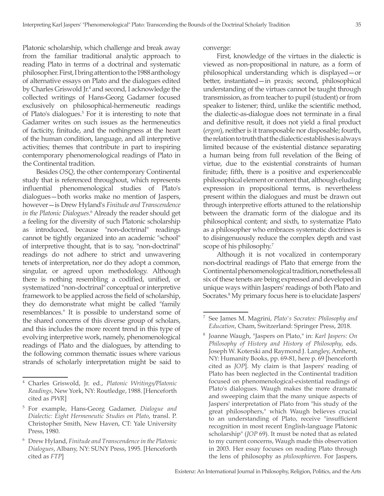Platonic scholarship, which challenge and break away from the familiar traditional analytic approach to reading Plato in terms of a doctrinal and systematic philosopher. First, I bring attention to the 1988 anthology of alternative essays on Plato and the dialogues edited by Charles Griswold Jr.<sup>4</sup> and second, I acknowledge the collected writings of Hans-Georg Gadamer focused exclusively on philosophical-hermeneutic readings of Plato's dialogues.<sup>5</sup> For it is interesting to note that Gadamer writes on such issues as the hermeneutics of facticity, finitude, and the nothingness at the heart of the human condition, language, and all interpretive activities; themes that contribute in part to inspiring contemporary phenomenological readings of Plato in the Continental tradition.

Besides *OSQ*, the other contemporary Continental study that is referenced throughout, which represents influential phenomenological studies of Plato's dialogues—both works make no mention of Jaspers, however—is Drew Hyland's *Finitude and Transcendence in the Platonic Dialogues*. 6 Already the reader should get a feeling for the diversity of such Platonic scholarship as introduced, because "non-doctrinal" readings cannot be tightly organized into an academic "school" of interpretive thought, that is to say, "non-doctrinal" readings do not adhere to strict and unwavering tenets of interpretation, nor do they adopt a common, singular, or agreed upon methodology. Although there is nothing resembling a codified, unified, or systematized "non-doctrinal" conceptual or interpretive framework to be applied across the field of scholarship, they do demonstrate what might be called "family resemblances." It is possible to understand some of the shared concerns of this diverse group of scholars, and this includes the more recent trend in this type of evolving interpretive work, namely, phenomenological readings of Plato and the dialogues, by attending to the following common thematic issues where various strands of scholarly interpretation might be said to

converge:

First, knowledge of the virtues in the dialectic is viewed as non-propositional in nature, as a form of philosophical understanding which is displayed—or better, instantiated—in praxis; second, philosophical understanding of the virtues cannot be taught through transmission, as from teacher to pupil (student) or from speaker to listener; third, unlike the scientific method, the dialectic-as-dialogue does not terminate in a final and definitive result, it does not yield a final product (*ergon*), neither is it transposable nor disposable; fourth, the relation to truth that the dialectic establishes is always limited because of the existential distance separating a human being from full revelation of the Being of virtue, due to the existential constraints of human finitude; fifth, there is a positive and experienceable philosophical element or content that, although eluding expression in propositional terms, is nevertheless present within the dialogues and must be drawn out through interpretive efforts attuned to the relationship between the dramatic form of the dialogue and its philosophical content; and sixth, to systematize Plato as a philosopher who embraces systematic doctrines is to disingenuously reduce the complex depth and vast scope of his philosophy.<sup>7</sup>

Although it is not vocalized in contemporary non-doctrinal readings of Plato that emerge from the Continental phenomenological tradition, nonetheless all six of these tenets are being expressed and developed in unique ways within Jaspers' readings of both Plato and Socrates.8 My primary focus here is to elucidate Jaspers'

<sup>4</sup> Charles Griswold, Jr. ed., *Platonic Writings/Platonic Readings*, New York, NY: Routledge, 1988. [Henceforth cited as *PWR*]

<sup>5</sup> For example, Hans-Georg Gadamer, *Dialogue and Dialectic: Eight Hermeneutic Studies on Plato*, transl. P. Christopher Smith, New Haven, CT: Yale University Press, 1980.

<sup>6</sup> Drew Hyland, *Finitude and Transcendence in the Platonic Dialogues*, Albany, NY: SUNY Press, 1995. [Henceforth cited as *FTP*]

<sup>7</sup> See James M. Magrini, *Plato's Socrates: Philosophy and Education*, Cham, Switzerland: Springer Press, 2018.

<sup>8</sup> Joanne Waugh, "Jaspers on Plato," in: *Karl Jaspers: On Philosophy of History and History of Philosophy*, eds. Joseph W. Koterski and Raymond J. Langley, Amherst, NY: Humanity Books, pp. 69-81, here p. 69 [henceforth cited as *JOP*]. My claim is that Jaspers' reading of Plato has been neglected in the Continental tradition focused on phenomenological-existential readings of Plato's dialogues. Waugh makes the more dramatic and sweeping claim that the many unique aspects of Jaspers' interpretation of Plato from "his study of the great philosophers," which Waugh believes crucial to an understanding of Plato, receive "insufficient recognition in most recent English-language Platonic scholarship" (*JOP* 69). It must be noted that as related to my current concerns, Waugh made this observation in 2003. Her essay focuses on reading Plato through the lens of philosophy as *philosophieren*. For Jaspers,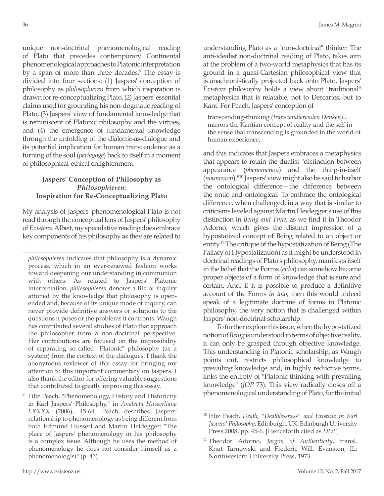unique non-doctrinal phenomenological reading of Plato that precedes contemporary Continental phenomenological approaches to Platonic interpretation by a span of more than three decades.<sup>9</sup> The essay is divided into four sections: (1) Jaspers' conception of philosophy as *philosophieren* from which inspiration is drawn for re-conceptualizing Plato, (2) Jaspers' essential claims used for grounding his non-dogmatic reading of Plato, (3) Jaspers' view of fundamental knowledge that is reminiscent of Platonic philosophy and the virtues, and (4) the emergence of fundamental knowledge through the unfolding of the dialectic-as-dialogue and its potential implication for human transcendence as a turning of the soul (*periagoge*) back to itself in a moment of philosophical-ethical enlightenment.

#### **Jaspers' Conception of Philosophy as**  *Philosophieren***: Inspiration for Re-Conceptualizing Plato**

My analysis of Jaspers' phenomenological Plato is not read through the conceptual lens of Jaspers' philosophy of *Existenz*. Albeit, my speculative reading does embrace key components of his philosophy as they are related to

*philosophieren* indicates that philosophy is a dynamic process, which in an ever-renewed fashion works toward deepening our understanding in communion with others. As related to Jaspers' Platonic interpretation, *philosophieren* denotes a life of inquiry attuned by the knowledge that philosophy is openended and, because of its unique mode of inquiry, can never provide definitive answers or solutions to the questions it poses or the problems it confronts. Waugh has contributed several studies of Plato that approach the philosopher from a non-doctrinal perspective. Her contributions are focused on the impossibility of separating so-called "Platonic" philosophy (as a system) from the context of the dialogues. I thank the anonymous reviewer of this essay for bringing my attention to this important commentary on Jaspers. I also thank the editor for offering valuable suggestions that contributed to greatly improving this essay.

Filiz Peach, "Phenomenology, History and Historicity in Karl Jaspers' Philosophy," in *Analecta Husserliana LXXXX* (2006), 45-64. Peach describes Jaspers' relationship to phenomenology as being different from both Edmund Husserl and Martin Heidegger: "The place of Jaspers' phenomenology in his philosophy is a complex issue. Although he uses the method of phenomenology he does not consider himself as a phenomenologist" (p. 45).

understanding Plato as a "non-doctrinal" thinker. The anti-idealist non-doctrinal reading of Plato, takes aim at the problem of a two-world metaphysics that has its ground in a quasi-Cartesian philosophical view that is anachronistically projected back onto Plato. Jaspers' *Existenz* philosophy holds a view about "traditional" metaphysics that is relatable, not to Descartes, but to Kant. For Peach, Jaspers' conception of

transcending-thinking (*transzendierenden Denken*)... mirrors the Kantian concept of reality and the self in the sense that transcending is grounded in the world of human experience,

and this indicates that Jaspers embraces a metaphysics that appears to retain the dualist "distinction between appearance (*phenomenon*) and the thing-in-itself (*noumenon*)."10 Jaspers' view might also be said to harbor the ontological difference—the difference between the ontic and ontological. To embrace the ontological difference, when challenged, in a way that is similar to criticisms leveled against Martin Heidegger's use of this distinction in *Being and Time*, as we find it in Theodor Adorno, which gives the distinct impression of a hypostatized concept of Being related to an object or entity.<sup>11</sup> The critique of the hypostatization of Being (The Fallacy of Hypostatization) as it might be understood in doctrinal readings of Plato's philosophy, manifests itself in the belief that the Forms (*eidoi*) can somehow become proper objects of a form of knowledge that is sure and certain. And, if it is possible to produce a definitive account of the Forms *in toto*, then this would indeed speak of a legitimate doctrine of forms in Platonic philosophy, the very notion that is challenged within Jaspers' non-doctrinal scholarship.

To further explore this issue, when the hypostatized notion of *Being* is understood in terms of objective reality, it can only be grasped through objective knowledge. This understanding in Platonic scholarship, as Waugh points out, restricts philosophical knowledge to prevailing knowledge and, in highly reductive terms, links the entirety of "Platonic thinking with prevailing knowledge" (*JOP* 73). This view radically closes off a phenomenological understanding of Plato, for the initial

<sup>10</sup> Filiz Peach, *Death, "Deathlessness" and Existenz in Karl Jaspers' Philosophy*, Edinburgh, UK: Edinburgh University Press 2008, pp. 45-6. [Henceforth cited as *DDE*]

<sup>11</sup> Theodor Adorno, *Jargon of Authenticity*, transl. Knut Tarnowski and Frederic Will, Evanston, IL: Northwestern University Press, 1973.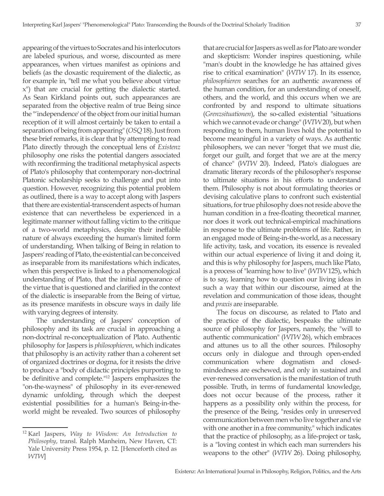appearing of the virtues to Socrates and his interlocutors are labeled spurious, and worse, discounted as mere appearances, when virtues manifest as opinions and beliefs (as the doxastic requirement of the dialectic, as for example in, "tell me what you believe about virtue x") that are crucial for getting the dialectic started. As Sean Kirkland points out, such appearances are separated from the objective realm of true Being since the "'independence' of the object from our initial human reception of it will almost certainly be taken to entail a separation of being from appearing" (*OSQ* 18). Just from these brief remarks, it is clear that by attempting to read Plato directly through the conceptual lens of *Existenz* philosophy one risks the potential dangers associated with reconfirming the traditional metaphysical aspects of Plato's philosophy that contemporary non-doctrinal Platonic scholarship seeks to challenge and put into question. However, recognizing this potential problem as outlined, there is a way to accept along with Jaspers that there are existential-transcendent aspects of human existence that can nevertheless be experienced in a legitimate manner without falling victim to the critique of a two-world metaphysics, despite their ineffable nature of always exceeding the human's limited form of understanding. When talking of Being in relation to Jaspers' reading of Plato, the existential can be conceived as inseparable from its manifestations which indicates, when this perspective is linked to a phenomenological understanding of Plato, that the initial appearance of the virtue that is questioned and clarified in the context of the dialectic is inseparable from the Being of virtue, as its presence manifests in obscure ways in daily life with varying degrees of intensity.

The understanding of Jaspers' conception of philosophy and its task are crucial in approaching a non-doctrinal re-conceptualization of Plato. Authentic philosophy for Jaspers is *philosophieren*, which indicates that philosophy is an activity rather than a coherent set of organized doctrines or dogma, for it resists the drive to produce a "body of didactic principles purporting to be definitive and complete."12 Jaspers emphasizes the "on-the-wayness" of philosophy in its ever-renewed dynamic unfolding, through which the deepest existential possibilities for a human's Being-in-theworld might be revealed. Two sources of philosophy that are crucial for Jaspers as well as for Plato are wonder and skepticism: Wonder inspires questioning, while "man's doubt in the knowledge he has attained gives rise to critical examination" (*WTW* 17). In its essence, *philosophieren* searches for an authentic awareness of the human condition, for an understanding of oneself, others, and the world, and this occurs when we are confronted by and respond to ultimate situations (*Grenzsituationen*), the so-called existential "situations which we cannot evade or change" (*WTW* 20), but when responding to them, human lives hold the potential to become meaningful in a variety of ways. As authentic philosophers, we can never "forget that we must die, forget our guilt, and forget that we are at the mercy of chance" (*WTW* 20). Indeed, Plato's dialogues are dramatic literary records of the philosopher's response to ultimate situations in his efforts to understand them. Philosophy is not about formulating theories or devising calculative plans to confront such existential situations, for true philosophy does not reside above the human condition in a free-floating theoretical manner, nor does it work out technical-empirical machinations in response to the ultimate problems of life. Rather, in an engaged mode of Being-in-the-world, as a necessary life activity, task, and vocation, its essence is revealed within our actual experience of living it and doing it, and this is why philosophy for Jaspers, much like Plato, is a process of "learning how to live" (*WTW* 125), which is to say, learning how to question our living ideas in such a way that within our discourse, aimed at the revelation and communication of those ideas, thought and *praxis* are inseparable.

The focus on discourse, as related to Plato and the practice of the dialectic, bespeaks the ultimate source of philosophy for Jaspers, namely, the "will to authentic communication" (*WTW* 26), which embraces and attunes us to all the other sources. Philosophy occurs only in dialogue and through open-ended communication where dogmatism and closedmindedness are eschewed, and only in sustained and ever-renewed conversation is the manifestation of truth possible. Truth, in terms of fundamental knowledge, does not occur because of the process, rather it happens as a possibility only within the process, for the presence of the Being, "resides only in unreserved communication between men who live together and vie with one another in a free community," which indicates that the practice of philosophy, as a life-project or task, is a "loving contest in which each man surrenders his weapons to the other" (*WTW* 26). Doing philosophy,

<sup>12</sup> Karl Jaspers, *Way to Wisdom: An Introduction to Philosophy*, transl. Ralph Manheim, New Haven, CT: Yale University Press 1954, p. 12. [Henceforth cited as *WTW*]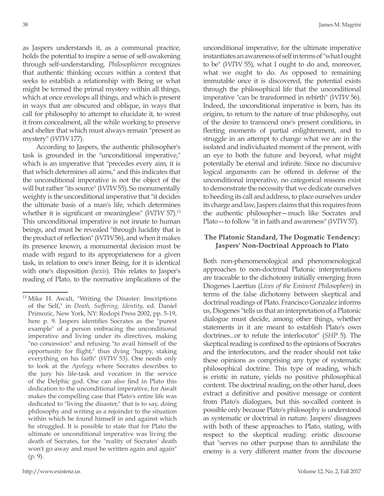as Jaspers understands it, as a communal practice, holds the potential to inspire a sense of self-awakening through self-understanding. *Philosophieren* recognizes that authentic thinking occurs within a context that seeks to establish a relationship with Being or what might be termed the primal mystery within all things, which at once envelops all things, and which is present in ways that are obscured and oblique, in ways that call for philosophy to attempt to elucidate it, to wrest it from concealment, all the while working to preserve and shelter that which must always remain "present as mystery" (*WTW* 177).

According to Jaspers, the authentic philosopher's task is grounded in the "unconditional imperative," which is an imperative that "precedes every aim, it is that which determines all aims," and this indicates that the unconditional imperative is not the object of the will but rather "its source" (*WTW* 55). So monumentally weighty is the unconditional imperative that "it decides the ultimate basis of a man's life, which determines whether it is significant or meaningless" (*WTW* 57).13 This unconditional imperative is not innate to human beings, and must be revealed "through lucidity that is the product of reflection" (*WTW* 56), and when it makes its presence known, a monumental decision must be made with regard to its appropriateness for a given task, in relation to one's inner Being, for it is identical with one's disposition (*hexis*). This relates to Jasper's reading of Plato, to the normative implications of the unconditional imperative, for the ultimate imperative instantiates an awareness of self in terms of "what I ought to be" (*WTW* 55), what I ought to do and, moreover, what we ought to do. As opposed to remaining immutable once it is discovered, the potential exists through the philosophical life that the unconditional imperative "can be transformed in rebirth" (*WTW* 56). Indeed, the unconditional imperative is born, has its origins, to return to the nature of true philosophy, out of the desire to transcend one's present conditions, in fleeting moments of partial enlightenment, and to struggle in an attempt to change what we are in the isolated and individuated moment of the present, with an eye to both the future and beyond, what might potentially be eternal and infinite. Since no discursive logical arguments can be offered in defense of the unconditional imperative, no categorical reasons exist to demonstrate the necessity that we dedicate ourselves to heeding its call and address, to place ourselves under its charge and law, Jaspers claims that this requires from the authentic philosopher—much like Socrates and Plato—to follow "it in faith and awareness" (*WTW* 57).

#### **The Platonic Standard, The Dogmatic Tendency: Jaspers' Non-Doctrinal Approach to Plato**

Both non-phenomenological and phenomenological approaches to non-doctrinal Platonic interpretations are traceable to the dichotomy initially emerging from Diogenes Laertius (*Lives of the Eminent Philosophers*) in terms of the false dichotomy between skeptical and doctrinal readings of Plato. Francisco Gonzalez informs us, Diogenes "tells us that an interpretation of a Platonic dialogue must decide, among other things, whether statements in it are meant to establish Plato's own doctrines...or to refute the interlocutor" (*SHP* 5). The skeptical reading is confined to the opinions of Socrates and the interlocutors, and the reader should not take these opinions as comprising any type of systematic philosophical doctrine. This type of reading, which is eristic in nature, yields no positive philosophical content. The doctrinal reading, on the other hand, does extract a definitive and positive message or content from Plato's dialogues, but this so-called content is possible only because Plato's philosophy is understood as systematic or doctrinal in nature. Jaspers' disagrees with both of these approaches to Plato, stating, with respect to the skeptical reading: eristic discourse that "serves no other purpose than to annihilate the enemy is a very different matter from the discourse

<sup>&</sup>lt;sup>13</sup> Mike H. Awalt, "Writing the Disaster: Inscriptions of the Self," in *Death, Suffering, Identity*, ed. Daniel Primozic, New York, NY: Rodopi Press 2002, pp. 5-19, here p. 9. Jaspers identifies Socrates as the "purest example" of a person embracing the unconditional imperative and living under its directives, making "no concession" and refusing "to avail himself of the opportunity for flight," thus dying "happy, staking everything on his faith" (*WTW* 53). One needs only to look at the *Apology* where Socrates describes to the jury his life-task and vocation in the service of the Delphic god. One can also find in Plato this dedication to the unconditional imperative, for Awalt makes the compelling case that Plato's entire life was dedicated to "living the disaster," that is to say, doing philosophy and writing as a rejoinder to the situation within which he found himself in and against which he struggled. It is possible to state that for Plato the ultimate or unconditional imperative was living the death of Socrates, for the "reality of Socrates' death won't go away and must be written again and again" (p. 9).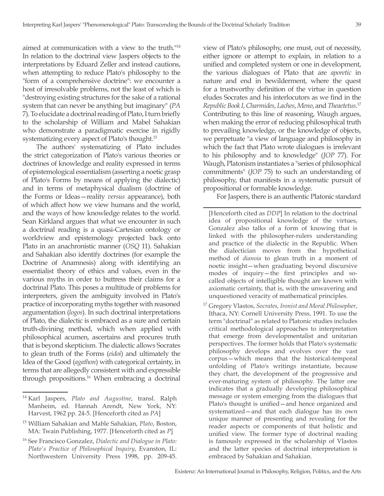aimed at communication with a view to the truth."14 In relation to the doctrinal view Jaspers objects to the interpretations by Eduard Zeller and instead cautions, when attempting to reduce Plato's philosophy to the "form of a comprehensive doctrine": we encounter a host of irresolvable problems, not the least of which is "destroying existing structures for the sake of a rational system that can never be anything but imaginary" (*PA* 7). To elucidate a doctrinal reading of Plato, I turn briefly to the scholarship of William and Mabel Sahakian who demonstrate a paradigmatic exercise in rigidly systematizing every aspect of Plato's thought.15

The authors' systematizing of Plato includes the strict categorization of Plato's various theories or doctrines of knowledge and reality expressed in terms of epistemological essentialism (asserting a noetic grasp of Plato's Forms by means of applying the dialectic) and in terms of metaphysical dualism (doctrine of the Forms or Ideas—reality *versus* appearance), both of which affect how we view humans and the world, and the ways of how knowledge relates to the world. Sean Kirkland argues that what we encounter in such a doctrinal reading is a quasi-Cartesian ontology or worldview and epistemology projected back onto Plato in an anachronistic manner (*OSQ* 11). Sahakian and Sahakian also identify doctrines (for example the Doctrine of Anamnesis) along with identifying an essentialist theory of ethics and values, even in the various myths in order to buttress their claims for a doctrinal Plato. This poses a multitude of problems for interpreters, given the ambiguity involved in Plato's practice of incorporating myths together with reasoned argumentation (*logos*). In such doctrinal interpretations of Plato, the dialectic is embraced as a sure and certain truth-divining method, which when applied with philosophical acumen, ascertains and procures truth that is beyond skepticism. The dialectic allows Socrates to glean truth of the Forms (*eidoi*) and ultimately the Idea of the Good (*agathon*) with categorical certainty, in terms that are allegedly consistent with and expressible through propositions.<sup>16</sup> When embracing a doctrinal

- <sup>15</sup> William Sahakian and Mable Sahakian, *Plato*, Boston, MA: Twain Publishing, 1977. [Henceforth cited as *P*]
- <sup>16</sup> See Francisco Gonzalez, *Dialectic and Dialogue in Plato: Plato's Practice of Philosophical Inquiry*, Evanston, IL: Northwestern University Press 1998, pp. 209-45.

view of Plato's philosophy, one must, out of necessity, either ignore or attempt to explain, in relation to a unified and completed system or one in development, the various dialogues of Plato that are *aporetic* in nature and end in bewilderment, where the quest for a trustworthy definition of the virtue in question eludes Socrates and his interlocutors as we find in the *Republic Book I*, *Charmides*, *Laches*, *Meno*, and *Theaetetus*. 17 Contributing to this line of reasoning, Waugh argues, when making the error of reducing philosophical truth to prevailing knowledge, or the knowledge of objects, we perpetuate "a view of language and philosophy in which the fact that Plato wrote dialogues is irrelevant to his philosophy and to knowledge" (*JOP* 77). For Waugh, Platonism instantiates a "series of philosophical commitments" (*JOP* 75) to such an understanding of philosophy, that manifests in a systematic pursuit of propositional or formable knowledge.

For Jaspers, there is an authentic Platonic standard

- [Henceforth cited as *DDP*] In relation to the doctrinal idea of propositional knowledge of the virtues, Gonzalez also talks of a form of knowing that is linked with the philosopher-rulers understanding and practice of the dialectic in the Republic. When the dialectician moves from the hypothetical method of *dianoia* to glean truth in a moment of noetic insight—when graduating beyond discursive modes of inquiry—the first principles and socalled objects of intelligible thought are known with axiomatic certainty, that is, with the unwavering and unquestioned veracity of mathematical principles.
- <sup>17</sup> Gregory Vlastos, *Socrates, Ironist and Moral Philosopher*, Ithaca, NY: Cornell University Press, 1991. To use the term "doctrinal" as related to Platonic studies includes critical methodological approaches to interpretation that emerge from developmentalist and unitarian perspectives. The former holds that Plato's systematic philosophy develops and evolves over the vast corpus—which means that the historical-temporal unfolding of Plato's writings instantiate, because they chart, the development of the progressive and ever-maturing system of philosophy. The latter one indicates that a gradually developing philosophical message or system emerging from the dialogues that Plato's thought is unified—and hence organized and systematized—and that each dialogue has its own unique manner of presenting and revealing for the reader aspects or components of that holistic and unified view. The former type of doctrinal reading is famously expressed in the scholarship of Vlastos and the latter species of doctrinal interpretation is embraced by Sahakian and Sahakian.

<sup>14</sup> Karl Jaspers, *Plato and Augustine*, transl. Ralph Manheim, ed. Hannah Arendt, New York, NY: Harvest, 1962 pp. 24-5. [Henceforth cited as *PA*]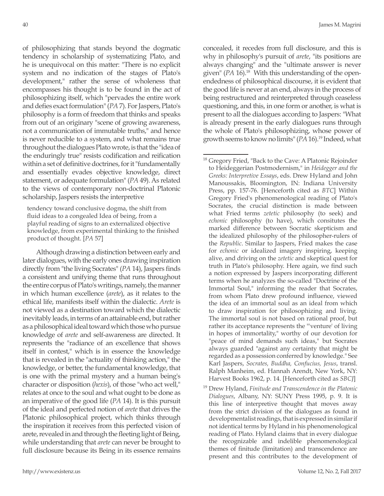of philosophizing that stands beyond the dogmatic tendency in scholarship of systematizing Plato, and he is unequivocal on this matter: "There is no explicit system and no indication of the stages of Plato's development," rather the sense of wholeness that encompasses his thought is to be found in the act of philosophizing itself, which "pervades the entire work and defies exact formulation" (*PA* 7). For Jaspers, Plato's philosophy is a form of freedom that thinks and speaks from out of an originary "scene of growing awareness, not a communication of immutable truths," and hence is never reducible to a system, and what remains true throughout the dialogues Plato wrote, is that the "idea of the enduringly true" resists codification and reification within a set of definitive doctrines, for it "fundamentally and essentially evades objective knowledge, direct statement, or adequate formulation" (*PA* 49). As related to the views of contemporary non-doctrinal Platonic scholarship, Jaspers resists the interpretive

tendency toward conclusive dogma, the shift from fluid ideas to a congealed Idea of being, from a playful reading of signs to an externalized objective knowledge, from experimental thinking to the finished product of thought. [*PA* 57]

Although drawing a distinction between early and later dialogues, with the early ones drawing inspiration directly from "the living Socrates" (*PA* 14), Jaspers finds a consistent and unifying theme that runs throughout the entire corpus of Plato's writings, namely, the manner in which human excellence (*arete*), as it relates to the ethical life, manifests itself within the dialectic. *Arete* is not viewed as a destination toward which the dialectic inevitably leads, in terms of an attainable end, but rather as a philosophical ideal toward which those who pursue knowledge of *arete* and self-awareness are directed. It represents the "radiance of an excellence that shows itself in contest," which is in essence the knowledge that is revealed in the "actuality of thinking action," the knowledge, or better, the fundamental knowledge, that is one with the primal mystery and a human being's character or disposition (*hexis*), of those "who act well," relates at once to the soul and what ought to be done as an imperative of the good life (*PA* 14). It is this pursuit of the ideal and perfected notion of *arete* that drives the Platonic philosophical project, which thinks through the inspiration it receives from this perfected vision of arete, revealed in and through the fleeting light of Being, while understanding that *arete* can never be brought to full disclosure because its Being in its essence remains concealed, it recedes from full disclosure, and this is why in philosophy's pursuit of *arete*, "its positions are always changing" and the "ultimate answer is never given" (*PA* 16).<sup>18</sup> With this understanding of the openendedness of philosophical discourse, it is evident that the good life is never at an end, always in the process of being restructured and reinterpreted through ceaseless questioning, and this, in one form or another, is what is present to all the dialogues according to Jaspers: "What is already present in the early dialogues runs through the whole of Plato's philosophizing, whose power of growth seems to know no limits" (*PA* 16).19 Indeed, what

<sup>&</sup>lt;sup>18</sup> Gregory Fried, "Back to the Cave: A Platonic Rejoinder to Heideggerian Postmodernism," in *Heidegger and the Greeks: Interpretive Essays*, eds. Drew Hyland and John Manoussakis, Bloomington, IN: Indiana University Press, pp. 157-76. [Henceforth cited as *BTC*] Within Gregory Fried's phenomenological reading of Plato's Socrates, the crucial distinction is made between what Fried terms *zetetic* philosophy (to seek) and *echonic* philosophy (to have), which consitutes the marked difference between Socratic skepticism and the idealized philosophy of the philosopher-rulers of the *Republic*. Similar to Jaspers, Fried makes the case for *echonic* or idealized imagery inspiring, keeping alive, and driving on the *zetetic* and skeptical quest for truth in Plato's philosophy. Here again, we find such a notion expressed by Jaspers incorporating different terms when he analyzes the so-called "Doctrine of the Immortal Soul," informing the reader that Socrates, from whom Plato drew profound influence, viewed the idea of an immortal soul as an ideal from which to draw inspiration for philosophizing and living. The immortal soul is not based on rational proof, but rather its acceptance represents the "'venture' of living in hopes of immortality," worthy of our devotion for "peace of mind demands such ideas," but Socrates always guarded "against any certainty that might be regarded as a possession conferred by knowledge." See Karl Jaspers, *Socrates, Buddha, Confucius, Jesus*, transl. Ralph Manheim, ed. Hannah Arendt, New York, NY: Harvest Books 1962, p. 14. [Henceforth cited as *SBCJ*]

<sup>19</sup> Drew Hyland, *Finitude and Transcendence in the Platonic Dialogues*, Albany, NY: SUNY Press 1995, p. 9. It is this line of interpretive thought that moves away from the strict division of the dialogues as found in developmentalist readings, that is expressed in similar if not identical terms by Hyland in his phenomenological reading of Plato. Hyland claims that in every dialogue the recognizable and indelible phenomenological themes of finitude (limitation) and transcendence are present and this contributes to the development of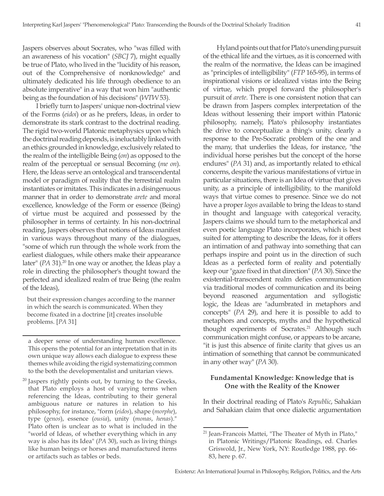Jaspers observes about Socrates, who "was filled with an awareness of his vocation" (*SBCJ* 7), might equally be true of Plato, who lived in the "lucidity of his reason, out of the Comprehensive of nonknowledge" and ultimately dedicated his life through obedience to an absolute imperative" in a way that won him "authentic being as the foundation of his decisions" (*WTW* 53).

I briefly turn to Jaspers' unique non-doctrinal view of the Forms (*eidoi*) or as he prefers, Ideas, in order to demonstrate its stark contrast to the doctrinal reading. The rigid two-world Platonic metaphysics upon which the doctrinal reading depends, is ineluctably linked with an ethics grounded in knowledge, exclusively related to the realm of the intelligible Being (*on*) as opposed to the realm of the perceptual or sensual Becoming (*me on*). Here, the Ideas serve an ontological and transcendental model or paradigm of reality that the terrestrial realm instantiates or imitates. This indicates in a disingenuous manner that in order to demonstrate *arete* and moral excellence, knowledge of the Form or essence (Being) of virtue must be acquired and possessed by the philosopher in terms of certainty. In his non-doctrinal reading, Jaspers observes that notions of Ideas manifest in various ways throughout many of the dialogues, "some of which run through the whole work from the earliest dialogues, while others make their appearance later" (*PA* 31).<sup>20</sup> In one way or another, the Ideas play a role in directing the philosopher's thought toward the perfected and idealized realm of true Being (the realm of the Ideas),

but their expression changes according to the manner in which the search is communicated. When they become fixated in a doctrine [it] creates insoluble problems. [*PA* 31]

a deeper sense of understanding human excellence. This opens the potential for an interpretation that in its own unique way allows each dialogue to express these themes while avoiding the rigid systematizing common to the both the developmentalist and unitarian views.

 $20$  Jaspers rightly points out, by turning to the Greeks, that Plato employs a host of varying terms when referencing the Ideas, contributing to their general ambiguous nature or natures in relation to his philosophy, for instance, "form (*eidos*), shape (*morphe*), type (*genos*), essence (*ousia*), unity (*monas*, *henas*)." Plato often is unclear as to what is included in the "world of Ideas, of whether everything which in any way is also has its Idea" (*PA* 30), such as living things like human beings or horses and manufactured items or artifacts such as tables or beds.

Hyland points out that for Plato's unending pursuit of the ethical life and the virtues, as it is concerned with the realm of the normative, the Ideas can be imagined as "principles of intelligibility" (*FTP* 165-95), in terms of inspirational visions or idealized vistas into the Being of virtue, which propel forward the philosopher's pursuit of *arete*. There is one consistent notion that can be drawn from Jaspers complex interpretation of the Ideas without lessening their import within Platonic philosophy, namely, Plato's philosophy instantiates the drive to conceptualize a thing's unity, clearly a response to the Pre-Socratic problem of the one and the many, that underlies the Ideas, for instance, "the individual horse perishes but the concept of the horse endures" (*PA* 31) and, as importantly related to ethical concerns, despite the various manifestations of virtue in particular situations, there is an Idea of virtue that gives unity, as a principle of intelligibility, to the manifold ways that virtue comes to presence. Since we do not have a proper *logos* available to bring the Ideas to stand in thought and language with categorical veracity, Jaspers claims we should turn to the metaphorical and even poetic language Plato incorporates, which is best suited for attempting to describe the Ideas, for it offers an intimation of and pathway into something that can perhaps inspire and point us in the direction of such Ideas as a perfected form of reality and potentially keep our "gaze fixed in that direction" (*PA* 30). Since the existential-transcendent realm defies communication via traditional modes of communication and its being beyond reasoned argumentation and syllogistic logic, the Ideas are "adumbrated in metaphors and concepts" (*PA* 29), and here it is possible to add to metaphors and concepts, myths and the hypothetical thought experiments of Socrates.<sup>21</sup> Although such communication might confuse, or appears to be arcane, "it is just this absence of finite clarity that gives us an intimation of something that cannot be communicated in any other way" (*PA* 30).

## **Fundamental Knowledge: Knowledge that is One with the Reality of the Knower**

In their doctrinal reading of Plato's *Republic*, Sahakian and Sahakian claim that once dialectic argumentation

<sup>&</sup>lt;sup>21</sup> Jean-Francois Mattei, "The Theater of Myth in Plato," in Platonic Writings/Platonic Readings, ed. Charles Griswold, Jr., New York, NY: Routledge 1988, pp. 66- 83, here p. 67.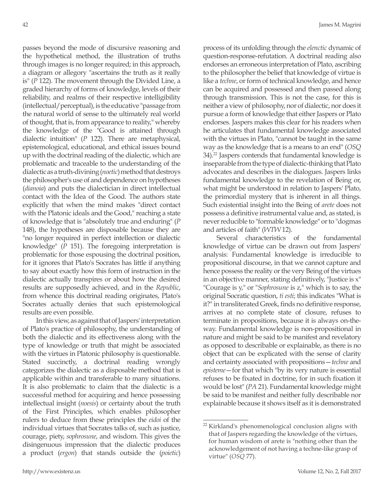passes beyond the mode of discursive reasoning and the hypothetical method, the illustration of truths through images is no longer required; in this approach, a diagram or allegory "ascertains the truth as it really is" (*P* 122). The movement through the Divided Line, a graded hierarchy of forms of knowledge, levels of their reliability, and realms of their respective intelligibility (intellectual/perceptual), is the educative "passage from the natural world of sense to the ultimately real world of thought, that is, from appearance to reality," whereby the knowledge of the "Good is attained through dialectic intuition" (*P* 122). There are metaphysical, epistemological, educational, and ethical issues bound up with the doctrinal reading of the dialectic, which are problematic and traceable to the understanding of the dialectic as a truth-divining (*noetic*) method that destroys the philosopher's use of and dependence on hypotheses (*dianoia*) and puts the dialectician in direct intellectual contact with the Idea of the Good. The authors state explicitly that when the mind makes "direct contact with the Platonic ideals and the Good," reaching a state of knowledge that is "absolutely true and enduring" (*P*  148), the hypotheses are disposable because they are "no longer required in perfect intellection or dialectic knowledge" (*P* 151). The foregoing interpretation is problematic for those espousing the doctrinal position, for it ignores that Plato's Socrates has little if anything to say about exactly how this form of instruction in the dialectic actually transpires or about how the desired results are supposedly achieved, and in the *Republic*, from whence this doctrinal reading originates, Plato's Socrates actually denies that such epistemological results are even possible.

In this view, as against that of Jaspers' interpretation of Plato's practice of philosophy, the understanding of both the dialectic and its effectiveness along with the type of knowledge or truth that might be associated with the virtues in Platonic philosophy is questionable. Stated succinctly, a doctrinal reading wrongly categorizes the dialectic as a disposable method that is applicable within and transferable to many situations. It is also problematic to claim that the dialectic is a successful method for acquiring and hence possessing intellectual insight (*noesis*) or certainty about the truth of the First Principles, which enables philosopher rulers to deduce from these principles the *eidoi* of the individual virtues that Socrates talks of, such as justice, courage, piety, *sophrosune*, and wisdom. This gives the disingenuous impression that the dialectic produces a product (*ergon*) that stands outside the (*poietic*) process of its unfolding through the *elenctic* dynamic of question-response-refutation. A doctrinal reading also endorses an erroneous interpretation of Plato, ascribing to the philosopher the belief that knowledge of virtue is like a *techne*, or form of technical knowledge, and hence can be acquired and possessed and then passed along through transmission. This is not the case, for this is neither a view of philosophy, nor of dialectic, nor does it pursue a form of knowledge that either Jaspers or Plato endorses. Jaspers makes this clear for his readers when he articulates that fundamental knowledge associated with the virtues in Plato, "cannot be taught in the same way as the knowledge that is a means to an end" (*OSQ* 34).<sup>22</sup> Jaspers contends that fundamental knowledge is inseparable from the type of dialectic-thinking that Plato advocates and describes in the dialogues. Jaspers links fundamental knowledge to the revelation of Being or, what might be understood in relation to Jaspers' Plato, the primordial mystery that is inherent in all things. Such existential insight into the Being of *arete* does not possess a definitive instrumental value and, as stated, is never reducible to "formable knowledge" or to "dogmas and articles of faith" (*WTW* 12).

Several characteristics of the fundamental knowledge of virtue can be drawn out from Jaspers' analysis: Fundamental knowledge is irreducible to propositional discourse, in that we cannot capture and hence possess the reality or the very Being of the virtues in an objective manner, stating definitively, "Justice is  $x$ " "Courage is y," or "*Sophrosune* is z," which is to say, the original Socratic question, *ti esti*; this indicates "What is it?" in transliterated Greek, finds no definitive response, arrives at no complete state of closure, refuses to terminate in propositions, because it is always on-theway. Fundamental knowledge is non-propositional in nature and might be said to be manifest and revelatory as opposed to describable or explainable, as there is no object that can be explicated with the sense of clarity and certainty associated with propositions—*techne* and *episteme*—for that which "by its very nature is essential refuses to be fixated in doctrine, for in such fixation it would be lost" (*PA* 21). Fundamental knowledge might be said to be manifest and neither fully describable nor explainable because it shows itself as it is demonstrated

<sup>&</sup>lt;sup>22</sup> Kirkland's phenomenological conclusion aligns with that of Jaspers regarding the knowledge of the virtues, for human wisdom of arete is "nothing other than the acknowledgement of not having a techne-like grasp of virtue" (*OSQ* 77).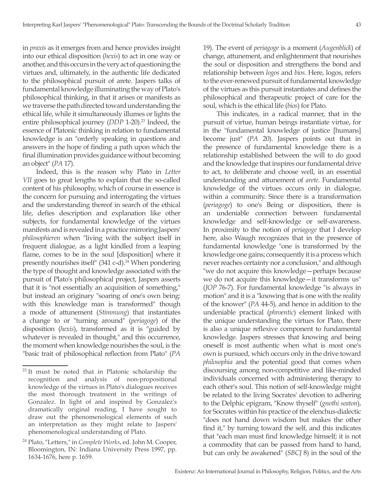in *praxis* as it emerges from and hence provides insight into our ethical disposition (*hexis*) to act in one way or another, and this occurs in the very act of questioning the virtues and, ultimately, in the authentic life dedicated to the philosophical pursuit of arete. Jaspers talks of fundamental knowledge illuminating the way of Plato's philosophical thinking, in that it arises or manifests as we traverse the path directed toward understanding the ethical life, while it simultaneously illumes or lights the entire philosophical journey (*DDP* 1-20).<sup>23</sup> Indeed, the essence of Platonic thinking in relation to fundamental knowledge is an "orderly speaking in questions and answers in the hope of finding a path upon which the final illumination provides guidance without becoming an object" (*PA* 17).

Indeed, this is the reason why Plato in *Letter VII* goes to great lengths to explain that the so-called content of his philosophy, which of course in essence is the concern for pursuing and interrogating the virtues and the understanding thereof in search of the ethical life, defies description and explanation like other subjects, for fundamental knowledge of the virtues manifests and is revealed in a practice mirroring Jaspers' *philosophieren* when "living with the subject itself in frequent dialogue, as a light kindled from a leaping flame, comes to be in the soul [disposition] where it presently nourishes itself"  $(341 \text{ c-d})$ .<sup>24</sup> When pondering the type of thought and knowledge associated with the pursuit of Plato's philosophical project, Jaspers asserts that it is "not essentially an acquisition of something," but instead an originary "soaring of one's own being: with this knowledge man is transformed" though a mode of attunement (*Stimmung*) that instantiates a change to or "turning around" (*periagoge*) of the disposition (*hexis*), transformed as it is "guided by whatever is revealed in thought," and this occurrence, the moment when knowledge nourishes the soul, is the "basic trait of philosophical reflection from Plato" (*PA*

19). The event of *periagoge* is a moment (*Augenblick*) of change, attunement, and enlightenment that nourishes the soul or disposition and strengthens the bond and relationship between *logos* and *bios*. Here, logos, refers to the ever-renewed pursuit of fundamental knowledge of the virtues as this pursuit instantiates and defines the philosophical and therapeutic project of care for the soul, which is the ethical life (*bios*) for Plato.

This indicates, in a radical manner, that in the pursuit of virtue, human beings instantiate virtue, for in the "fundamental knowledge of justice [humans] become just" (*PA* 20). Jaspers points out that in the presence of fundamental knowledge there is a relationship established between the will to do good and the knowledge that inspires our fundamental drive to act, to deliberate and choose well, in an essential understanding and attunement of *arete*. Fundamental knowledge of the virtues occurs only in dialogue, within a community. Since there is a transformation (*periagoge*) to one's Being or disposition, there is an undeniable connection between fundamental knowledge and self-knowledge or self-awareness. In proximity to the notion of *periagoge* that I develop here, also Waugh recognizes that in the presence of fundamental knowledge "one is transformed by the knowledge one gains; consequently it is a process which never reaches certainty nor a conclusion," and although "we do not acquire this knowledge—perhaps because we do not acquire this knowledge—it transforms us" (*JOP* 76-7). For fundamental knowledge "is always in motion" and it is a "knowing that is one with the reality of the knower" (*PA* 44-5), and hence in addition to the undeniable practical (*phroentic*) element linked with the unique understanding the virtues for Plato, there is also a unique reflexive component to fundamental knowledge. Jaspers stresses that knowing and being oneself is most authentic when what is most one's own is pursued, which occurs only in the drive toward *philosophia* and the potential good that comes when discoursing among non-competitive and like-minded individuals concerned with administering therapy to each other's soul. This notion of self-knowledge might be related to the living Socrates' devotion to adhering to the Delphic epigram, "Know thyself" (*gnothi seaton*), for Socrates within his practice of the elenchus-dialectic "does not hand down wisdom but makes the other find it," by turning toward the self, and this indicates that "each man must find knowledge himself; it is not a commodity that can be passed from hand to hand, but can only be awakened" (*SBCJ* 8) in the soul of the

<sup>&</sup>lt;sup>23</sup> It must be noted that in Platonic scholarship the recognition and analysis of non-propositional knowledge of the virtues in Plato's dialogues receives the most thorough treatment in the writings of Gonzalez. In light of and inspired by Gonzalez's dramatically original reading, I have sought to draw out the phenomenological elements of such an interpretation as they might relate to Jaspers' phenomenological understanding of Plato.

<sup>24</sup> Plato, "Letters," in *Complete Works*, ed. John M. Cooper, Bloomington, IN: Indiana University Press 1997, pp. 1634-1676, here p. 1659.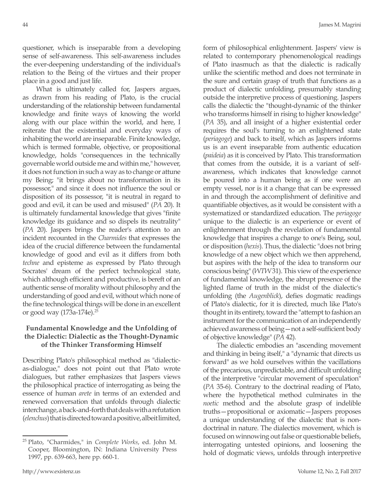questioner, which is inseparable from a developing sense of self-awareness. This self-awareness includes the ever-deepening understanding of the individual's relation to the Being of the virtues and their proper place in a good and just life.

What is ultimately called for, Jaspers argues, as drawn from his reading of Plato, is the crucial understanding of the relationship between fundamental knowledge and finite ways of knowing the world along with our place within the world, and here, I reiterate that the existential and everyday ways of inhabiting the world are inseparable. Finite knowledge, which is termed formable, objective, or propositional knowledge, holds "consequences in the technically governable world outside me and within me," however, it does not function in such a way as to change or attune my Being; "it brings about no transformation in its possessor," and since it does not influence the soul or disposition of its possessor, "it is neutral in regard to good and evil, it can be used and misused" (*PA* 20). It is ultimately fundamental knowledge that gives "finite knowledge its guidance and so dispels its neutrality" (*PA* 20). Jaspers brings the reader's attention to an incident recounted in the *Charmides* that expresses the idea of the crucial difference between the fundamental knowledge of good and evil as it differs from both *techne* and episteme as expressed by Plato through Socrates' dream of the perfect technological state, which although efficient and productive, is bereft of an authentic sense of morality without philosophy and the understanding of good and evil, without which none of the fine technological things will be done in an excellent or good way (173a-174e).<sup>25</sup>

## **Fundamental Knowledge and the Unfolding of the Dialectic: Dialectic as the Thought-Dynamic of the Thinker Transforming Himself**

Describing Plato's philosophical method as "dialecticas-dialogue," does not point out that Plato wrote dialogues, but rather emphasizes that Jaspers views the philosophical practice of interrogating as being the essence of human *arete* in terms of an extended and renewed conversation that unfolds through dialectic interchange, a back-and-forth that deals with a refutation (*elenchus*) that is directed toward a positive, albeit limited, form of philosophical enlightenment. Jaspers' view is related to contemporary phenomenological readings of Plato inasmuch as that the dialectic is radically unlike the scientific method and does not terminate in the sure and certain grasp of truth that functions as a product of dialectic unfolding, presumably standing outside the interpretive process of questioning. Jaspers calls the dialectic the "thought-dynamic of the thinker who transforms himself in rising to higher knowledge" (*PA* 35), and all insight of a higher existential order requires the soul's turning to an enlightened state (*periagoge*) and back to itself, which as Jaspers informs us is an event inseparable from authentic education (*paideia*) as it is conceived by Plato. This transformation that comes from the outside, it is a variant of selfawareness, which indicates that knowledge cannot be poured into a human being as if one were an empty vessel, nor is it a change that can be expressed in and through the accomplishment of definitive and quantifiable objectives, as it would be consistent with a systematized or standardized education. The *periagoge* unique to the dialectic is an experience or event of enlightenment through the revelation of fundamental knowledge that inspires a change to one's Being, soul, or disposition (*hexis*). Thus, the dialectic "does not bring knowledge of a new object which we then apprehend, but aspires with the help of the idea to transform our conscious being" (*WTW* 31). This view of the experience of fundamental knowledge, the abrupt presence of the lighted flame of truth in the midst of the dialectic's unfolding (the *Augenblick*), defies dogmatic readings of Plato's dialectic, for it is directed, much like Plato's thought in its entirety, toward the "attempt to fashion an instrument for the communication of an independently achieved awareness of being—not a self-sufficient body of objective knowledge" (*PA* 42).

The dialectic embodies an "ascending movement and thinking in being itself," a "dynamic that directs us forward" as we hold ourselves within the vacillations of the precarious, unpredictable, and difficult unfolding of the interpretive "circular movement of speculation" (*PA* 35-6). Contrary to the doctrinal reading of Plato, where the hypothetical method culminates in the *noetic* method and the absolute grasp of indelible truths—propositional or axiomatic—Jaspers proposes a unique understanding of the dialectic that is nondoctrinal in nature. The dialectics movement, which is focused on winnowing out false or questionable beliefs, interrogating untested opinions, and loosening the hold of dogmatic views, unfolds through interpretive

<sup>25</sup> Plato, "Charmides," in *Complete Works*, ed. John M. Cooper, Bloomington, IN: Indiana University Press 1997, pp. 639-663, here pp. 660-1.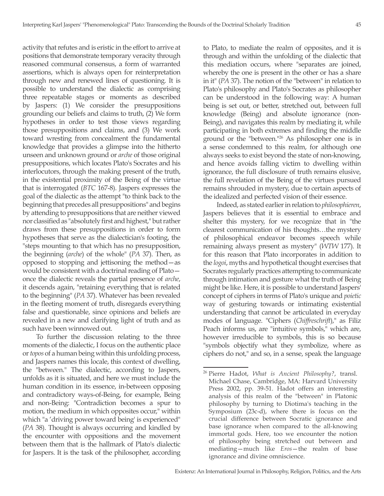activity that refutes and is eristic in the effort to arrive at positions that demonstrate temporary veracity through reasoned communal consensus, a form of warranted assertions, which is always open for reinterpretation through new and renewed lines of questioning. It is possible to understand the dialectic as comprising three repeatable stages or moments as described by Jaspers: (1) We consider the presuppositions grounding our beliefs and claims to truth, (2) We form hypotheses in order to test those views regarding those presuppositions and claims, and (3) We work toward wresting from concealment the fundamental knowledge that provides a glimpse into the hitherto unseen and unknown ground or *arche* of those original presuppositions, which locates Plato's Socrates and his interlocutors, through the making present of the truth, in the existential proximity of the Being of the virtue that is interrogated (*BTC* 167-8). Jaspers expresses the goal of the dialectic as the attempt "to think back to the beginning that precedes all presuppositions" and begins by attending to presuppositions that are neither viewed nor classified as "absolutely first and highest," but rather draws from these presuppositions in order to form hypotheses that serve as the dialectician's footing, the "steps mounting to that which has no presupposition, the beginning (*arche*) of the whole" (*PA* 37). Then, as opposed to stopping and jettisoning the method—as would be consistent with a doctrinal reading of Plato once the dialectic reveals the partial presence of *arche*, it descends again, "retaining everything that is related to the beginning" (*PA* 37). Whatever has been revealed in the fleeting moment of truth, disregards everything false and questionable, since opinions and beliefs are revealed in a new and clarifying light of truth and as such have been winnowed out.

To further the discussion relating to the three moments of the dialectic, I focus on the authentic place or *topos* of a human being within this unfolding process, and Jaspers names this locale, this context of dwelling, the "between." The dialectic, according to Jaspers, unfolds as it is situated, and here we must include the human condition in its essence, in-between opposing and contradictory ways-of-Being, for example, Being and non-Being: "Contradiction becomes a spur to motion, the medium in which opposites occur," within which "a 'driving power toward being' is experienced" (*PA* 38). Thought is always occurring and kindled by the encounter with oppositions and the movement between them that is the hallmark of Plato's dialectic for Jaspers. It is the task of the philosopher, according

to Plato, to mediate the realm of opposites, and it is through and within the unfolding of the dialectic that this mediation occurs, where "separates are joined, whereby the one is present in the other or has a share in it" (*PA* 37). The notion of the "between" in relation to Plato's philosophy and Plato's Socrates as philosopher can be understood in the following way: A human being is set out, or better, stretched out, between full knowledge (Being) and absolute ignorance (non-Being), and navigates this realm by mediating it, while participating in both extremes and finding the middle ground or the "between."26 As philosopher one is in a sense condemned to this realm, for although one always seeks to exist beyond the state of non-knowing, and hence avoids falling victim to dwelling within ignorance, the full disclosure of truth remains elusive, the full revelation of the Being of the virtues pursued remains shrouded in mystery, due to certain aspects of the idealized and perfected vision of their essence.

Indeed, as stated earlier in relation to *philosophieren*, Jaspers believes that it is essential to embrace and shelter this mystery, for we recognize that in "the clearest communication of his thoughts…the mystery of philosophical endeavor becomes speech while remaining always present as mystery" (*WTW* 177). It for this reason that Plato incorporates in addition to the *logoi*, myths and hypothetical thought exercises that Socrates regularly practices attempting to communicate through intimation and gesture what the truth of Being might be like. Here, it is possible to understand Jaspers' concept of ciphers in terms of Plato's unique and *poietic* way of gesturing towards or intimating existential understanding that cannot be articulated in everyday modes of language. "Ciphers (*Chiffreschrift*)," as Filiz Peach informs us, are "intuitive symbols," which are, however irreducible to symbols, this is so because "symbols objectify what they symbolize, where as ciphers do not," and so, in a sense, speak the language

<sup>26</sup> Pierre Hadot, *What is Ancient Philosophy?*, transl. Michael Chase, Cambridge, MA: Harvard University Press 2002, pp. 39-51. Hadot offers an interesting analysis of this realm of the "between" in Platonic philosophy by turning to Diotima's teaching in the Symposium (23c-d), where there is focus on the crucial difference between Socratic ignorance and base ignorance when compared to the all-knowing immortal gods. Here, too we encounter the notion of philosophy being stretched out between and mediating—much like *Eros*—the realm of base ignorance and divine omniscience.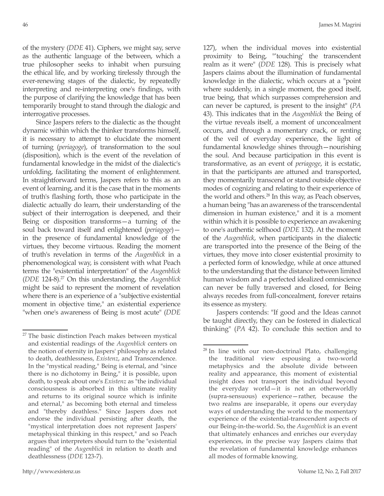of the mystery (*DDE* 41). Ciphers, we might say, serve as the authentic language of the between, which a true philosopher seeks to inhabit when pursuing the ethical life, and by working tirelessly through the ever-renewing stages of the dialectic, by repeatedly interpreting and re-interpreting one's findings, with the purpose of clarifying the knowledge that has been temporarily brought to stand through the dialogic and interrogative processes.

Since Jaspers refers to the dialectic as the thought dynamic within which the thinker transforms himself, it is necessary to attempt to elucidate the moment of turning (*periagoge*), of transformation to the soul (disposition), which is the event of the revelation of fundamental knowledge in the midst of the dialectic's unfolding, facilitating the moment of enlightenment. In straightforward terms, Jaspers refers to this as an event of learning, and it is the case that in the moments of truth's flashing forth, those who participate in the dialectic actually do learn, their understanding of the subject of their interrogation is deepened, and their Being or disposition transforms—a turning of the soul back toward itself and enlightened (*periagoge*) in the presence of fundamental knowledge of the virtues, they become virtuous. Reading the moment of truth's revelation in terms of the *Augenblick* in a phenomenological way, is consistent with what Peach terms the "existential interpretation" of the *Augenblick* (*DDE* 124-8).27 On this understanding, the *Augenblick* might be said to represent the moment of revelation where there is an experience of a "subjective existential moment in objective time," an existential experience "when one's awareness of Being is most acute" (*DDE* 127), when the individual moves into existential proximity to Being, "'touching' the transcendent realm as it were" (*DDE* 128). This is precisely what Jaspers claims about the illumination of fundamental knowledge in the dialectic, which occurs at a "point where suddenly, in a single moment, the good itself, true being, that which surpasses comprehension and can never be captured, is present to the insight" (*PA* 43). This indicates that in the *Augenblick* the Being of the virtue reveals itself, a moment of unconcealment occurs, and through a momentary crack, or renting of the veil of everyday experience, the light of fundamental knowledge shines through—nourishing the soul. And because participation in this event is transformative, as an event of *periagoge*, it is ecstatic, in that the participants are attuned and transported, they momentarily transcend or stand outside objective modes of cognizing and relating to their experience of the world and others.<sup>28</sup> In this way, as Peach observes, a human being "has an awareness of the transcendental dimension in human existence," and it is a moment within which it is possible to experience an awakening to one's authentic selfhood (*DDE* 132). At the moment of the *Augenblick*, when participants in the dialectic are transported into the presence of the Being of the virtues, they move into closer existential proximity to a perfected form of knowledge, while at once attuned to the understanding that the distance between limited human wisdom and a perfected idealized omniscience can never be fully traversed and closed, for Being always recedes from full-concealment, forever retains its essence as mystery.

Jaspers contends: "If good and the Ideas cannot be taught directly, they can be fostered in dialectical thinking" (*PA* 42). To conclude this section and to

The basic distinction Peach makes between mystical and existential readings of the *Augenblick* centers on the notion of eternity in Jaspers' philosophy as related to death, deathlessness, *Existenz*, and Transcendence. In the "mystical reading," Being is eternal, and "since there is no dichotomy in Being," it is possible, upon death, to speak about one's *Existenz* as "the individual consciousness is absorbed in this ultimate reality and returns to its original source which is infinite and eternal," as becoming both eternal and timeless and "thereby deathless." Since Jaspers does not endorse the individual persisting after death, the "mystical interpretation does not represent Jaspers' metaphysical thinking in this respect," and so Peach argues that interpreters should turn to the "existential reading" of the *Augenblick* in relation to death and deathlessness (*DDE* 123-7).

 $28$  In line with our non-doctrinal Plato, challenging the traditional view espousing a two-world metaphysics and the absolute divide between reality and appearance, this moment of existential insight does not transport the individual beyond the everyday world—it is not an otherworldly (supra-sensuous) experience—rather, because the two realms are inseparable, it opens our everyday ways of understanding the world to the momentary experience of the existential-transcendent aspects of our Being-in-the-world. So, the *Augenblick* is an event that ultimately enhances and enriches our everyday experiences, in the precise way Jaspers claims that the revelation of fundamental knowledge enhances all modes of formable knowing.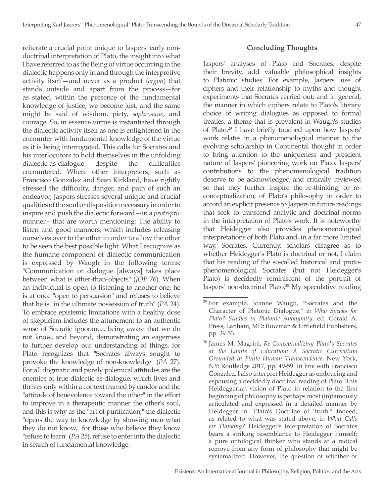reiterate a crucial point unique to Jaspers' early nondoctrinal interpretation of Plato, the insight into what I have referred to as the Being of virtue occurring in the dialectic happens only in and through the interpretive activity itself—and never as a product (*ergon*) that stands outside and apart from the process—for as stated, within the presence of the fundamental knowledge of justice, we become just, and the same might be said of wisdom, piety, *sophrosune*, and courage. So, in essence virtue is instantiated through the dialectic activity itself as one is enlightened in the encounter with fundamental knowledge of the virtue as it is being interrogated. This calls for Socrates and his interlocutors to hold themselves in the unfolding dialectic-as-dialogue despite the difficulties encountered. Where other interpreters, such as Francisco Gonzalez and Sean Kirkland, have rightly stressed the difficulty, danger, and pain of such an endeavor, Jaspers stresses several unique and crucial qualities of the soul or disposition necessary in order to inspire and push the dialectic forward—in a *protreptic* manner—that are worth mentioning: The ability to listen and good manners, which includes releasing ourselves over to the other in order to allow the other to be seen the best possible light. What I recognize as the humane component of dialectic communication is expressed by Waugh in the following terms: "Communication or dialogue [always] takes place between what is other-than-objects" (*JOP* 76). When an individual is open to listening to another one, he is at once "open to persuasion" and refuses to believe that he is "in the ultimate possession of truth" (*PA* 24). To embrace epistemic limitations with a healthy dose of skepticism includes the attunement to an authentic sense of Socratic ignorance, being aware that we do not know, and beyond, demonstrating an eagerness to further develop our understanding of things, for Plato recognizes that "Socrates always sought to provoke the knowledge of non-knowledge" (*PA* 27). For all dogmatic and purely polemical attitudes are the enemies of true dialectic-as-dialogue, which lives and thrives only within a context framed by candor and the "attitude of benevolence toward the other" in the effort to improve in a therapeutic manner the other's soul, and this is why as the "art of purification," the dialectic "opens the way to knowledge by showing men what they do not know," for those who believe they know "refuse to learn" (*PA* 25), refuse to enter into the dialectic in search of fundamental knowledge.

#### **Concluding Thoughts**

Jaspers' analyses of Plato and Socrates, despite their brevity, add valuable philosophical insights to Platonic studies. For example, Jaspers' use of ciphers and their relationship to myths and thought experiments that Socrates carried out; and in general, the manner in which ciphers relate to Plato's literary choice of writing dialogues as opposed to formal treaties, a theme that is prevalent in Waugh's studies of Plato.29 I have briefly touched upon how Jaspers' work relates in a phenomenological manner to the evolving scholarship in Continental thought in order to bring attention to the uniqueness and prescient nature of Jaspers' pioneering work on Plato. Jaspers' contributions to the phenomenological tradition deserve to be acknowledged and critically reviewed so that they further inspire the re-thinking, or reconceptualization, of Plato's philosophy in order to accord an explicit presence to Jaspers in future readings that seek to transcend analytic and doctrinal norms in the interpretation of Plato's work. It is noteworthy that Heidegger also provides phenomenological interpretations of both Plato and, in a far more limited way, Socrates. Currently, scholars disagree as to whether Heidegger's Plato is doctrinal or not, I claim that his reading of the so-called historical and protophenomenological Socrates (but not Heidegger's Plato) is decidedly reminiscent of the portrait of Jaspers' non-doctrinal Plato.<sup>30</sup> My speculative reading

<sup>&</sup>lt;sup>29</sup> For example, Joanne Waugh, "Socrates and the Character of Platonic Dialogue," in *Who Speaks for Plato? Studies in Platonic Anonymity*, ed. Gerald A. Press, Lanham, MD: Rowman & Littlefield Publishers, pp. 39-53.

<sup>30</sup> James M. Magrini, *Re-Conceptualizing Plato's Socrates at the Limits of Education: A Socratic Curriculum Grounded in Finite Human Transcendence*, New York, NY: Routledge 2017, pp. 49-59. In line with Francisco Gonzalez, I also interpret Heidegger as embracing and espousing a decidedly doctrinal reading of Plato. This Heideggerian vision of Plato in relation to the first beginning of philosophy is perhaps most (in)famously articulated and expressed in a detailed manner by Heidegger in "Plato's Doctrine of Truth." Indeed, as related to what was stated above, in *What Calls for Thinking?* Heidegger's interpretation of Socrates bears a striking resemblance to Heidegger himself; a pure ontological thinker who stands at a radical remove from any form of philosophy that might be systematized. However, the question of whether or